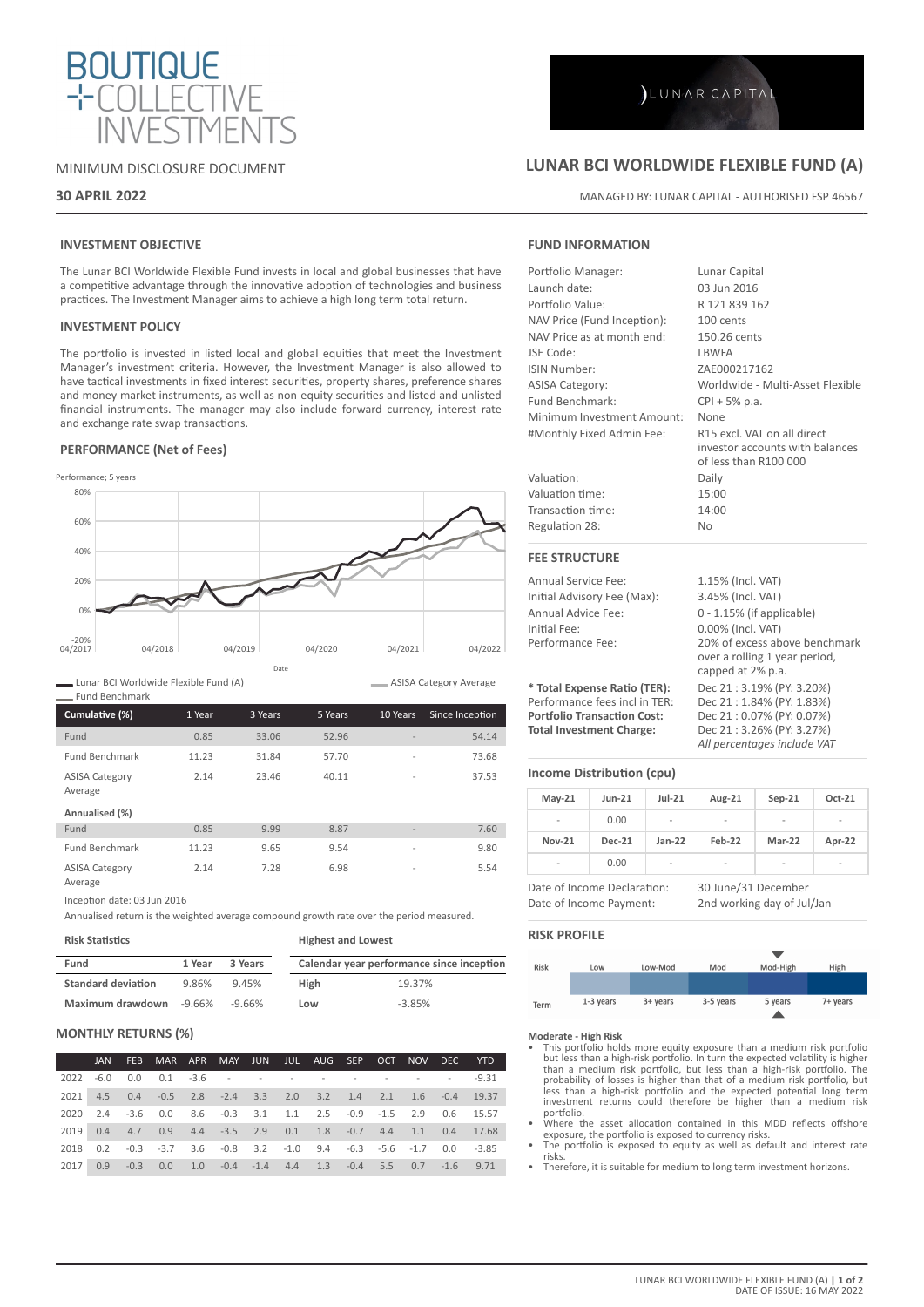

## MINIMUM DISCLOSURE DOCUMENT

## **30 APRIL 2022**

## **INVESTMENT OBJECTIVE**

The Lunar BCI Worldwide Flexible Fund invests in local and global businesses that have a competitive advantage through the innovative adoption of technologies and business practices. The Investment Manager aims to achieve a high long term total return.

## **INVESTMENT POLICY**

The portfolio is invested in listed local and global equities that meet the Investment Manager's investment criteria. However, the Investment Manager is also allowed to have tactical investments in fixed interest securities, property shares, preference shares and money market instruments, as well as non-equity securities and listed and unlisted financial instruments. The manager may also include forward currency, interest rate and exchange rate swap transactions.

## **PERFORMANCE (Net of Fees)**



Lunar BCI Worldwide Flexible Fund (A)

| <b>Fund Benchmark</b>            |        |         |         |                          |                 |
|----------------------------------|--------|---------|---------|--------------------------|-----------------|
| Cumulative (%)                   | 1 Year | 3 Years | 5 Years | 10 Years                 | Since Inception |
| Fund                             | 0.85   | 33.06   | 52.96   |                          | 54.14           |
| <b>Fund Benchmark</b>            | 11.23  | 31.84   | 57.70   | $\overline{a}$           | 73.68           |
| <b>ASISA Category</b><br>Average | 2.14   | 23.46   | 40.11   | $\overline{\phantom{a}}$ | 37.53           |
| Annualised (%)                   |        |         |         |                          |                 |
| Fund                             | 0.85   | 9.99    | 8.87    | $\overline{\phantom{a}}$ | 7.60            |
| <b>Fund Benchmark</b>            | 11.23  | 9.65    | 9.54    | $\overline{a}$           | 9.80            |
| <b>ASISA Category</b><br>Average | 2.14   | 7.28    | 6.98    | $\overline{\phantom{a}}$ | 5.54            |

Inception date: 03 Jun 2016

Annualised return is the weighted average compound growth rate over the period measured.

| <b>Risk Statistics</b>    |        |         | <b>Highest and Lowest</b>                 |          |  |  |
|---------------------------|--------|---------|-------------------------------------------|----------|--|--|
| Fund                      | 1 Year | 3 Years | Calendar year performance since inception |          |  |  |
| <b>Standard deviation</b> | 9.86%  | 9.45%   | <b>High</b>                               | 19.37%   |  |  |
| Maximum drawdown          | -9.66% | -9.66%  | Low                                       | $-3.85%$ |  |  |

## **MONTHLY RETURNS (%)**

|      | JAN |                                                                   |  |  |  |  | FEB MAR APR MAY JUN JUL AUG SEP OCT NOV DEC YTD |
|------|-----|-------------------------------------------------------------------|--|--|--|--|-------------------------------------------------|
|      |     |                                                                   |  |  |  |  |                                                 |
|      |     | 2021 4.5 0.4 -0.5 2.8 -2.4 3.3 2.0 3.2 1.4 2.1 1.6 -0.4 19.37     |  |  |  |  |                                                 |
|      |     | 2020 2.4 -3.6 0.0 8.6 -0.3 3.1 1.1 2.5 -0.9 -1.5 2.9 0.6 15.57    |  |  |  |  |                                                 |
|      |     | 2019 0.4 4.7 0.9 4.4 -3.5 2.9 0.1 1.8 -0.7 4.4 1.1 0.4 17.68      |  |  |  |  |                                                 |
|      |     | 2018 0.2 -0.3 -3.7 3.6 -0.8 3.2 -1.0 9.4 -6.3 -5.6 -1.7 0.0 -3.85 |  |  |  |  |                                                 |
| 2017 | 0.9 | $-0.3$ 0.0 1.0 $-0.4$ $-1.4$ 4.4 1.3 $-0.4$ 5.5 0.7 $-1.6$ 9.71   |  |  |  |  |                                                 |

## **LUNAR BCI WORLDWIDE FLEXIBLE FUND (A)**

MANAGED BY: LUNAR CAPITAL - AUTHORISED FSP 46567

## **FUND INFORMATION**

| Portfolio Manager:                 | Lunar Capital                                                                           |
|------------------------------------|-----------------------------------------------------------------------------------------|
| Launch date:                       | 03 lun 2016                                                                             |
| Portfolio Value:                   | R 121 839 162                                                                           |
| NAV Price (Fund Inception):        | 100 cents                                                                               |
| NAV Price as at month end:         | 150.26 cents                                                                            |
| JSE Code:                          | <b>I BWFA</b>                                                                           |
| ISIN Number:                       | ZAE000217162                                                                            |
| <b>ASISA Category:</b>             | Worldwide - Multi-Asset Flexible                                                        |
| Fund Benchmark:                    | $CPI + 5% p.a.$                                                                         |
| Minimum Investment Amount:         | None                                                                                    |
| #Monthly Fixed Admin Fee:          | R15 excl. VAT on all direct<br>investor accounts with balances<br>of less than R100 000 |
| Valuation:                         | Daily                                                                                   |
| Valuation time:                    | 15:00                                                                                   |
| Transaction time:                  | 14:00                                                                                   |
| Regulation 28:                     | No                                                                                      |
| <b>FEE STRUCTURE</b>               |                                                                                         |
| Annual Service Fee:                | 1.15% (Incl. VAT)                                                                       |
| Initial Advisory Fee (Max):        | 3.45% (Incl. VAT)                                                                       |
| Annual Advice Fee:                 | 0 - 1.15% (if applicable)                                                               |
| Initial Fee:                       | 0.00% (Incl. VAT)                                                                       |
| Performance Fee:                   | 20% of excess above benchmark                                                           |
|                                    | over a rolling 1 year period,<br>capped at 2% p.a.                                      |
| * Total Expense Ratio (TER):       | Dec 21:3.19% (PY: 3.20%)                                                                |
| Performance fees incl in TFR:      |                                                                                         |
|                                    | Dec 21: 1.84% (PY: 1.83%)                                                               |
| <b>Portfolio Transaction Cost:</b> | Dec 21:0.07% (PY: 0.07%)                                                                |

# *All percentages include VAT*

**Income Distribution (cpu)**

| $May-21$                                           | $Jun-21$      | $Jul-21$ | Aug-21                   | $Sep-21$ | Oct-21                   |
|----------------------------------------------------|---------------|----------|--------------------------|----------|--------------------------|
| $\overline{a}$                                     | 0.00          | -        | $\overline{\phantom{a}}$ |          | -                        |
| <b>Nov-21</b>                                      | <b>Dec-21</b> | $Jan-22$ | Feb-22                   | Mar-22   | Apr-22                   |
|                                                    | 0.00          | -        |                          |          | $\overline{\phantom{a}}$ |
| 30 June/31 December<br>Date of Income Declaration: |               |          |                          |          |                          |

Date of Income Payment: 2nd working day of Jul/Jan

## **RISK PROFILE**

ASISA Category Average



**Moderate - High Risk**

- This portfolio holds more equity exposure than a medium risk portfolio but less than a high-risk portfolio. In turn the expected volatility is higher than a medium risk portfolio, but less than a high-risk portfolio. The probability of losses is higher than that of a medium risk portfolio, but less than a high-risk portfolio and the expected potential long term investment returns could therefore be higher than a medium risk portfolio.
- Where the asset allocation contained in this MDD reflects offshore exposure, the portfolio is exposed to currency risks. • The portfolio is exposed to equity as well as default and interest rate
- risks.
- Therefore, it is suitable for medium to long term investment horizons.